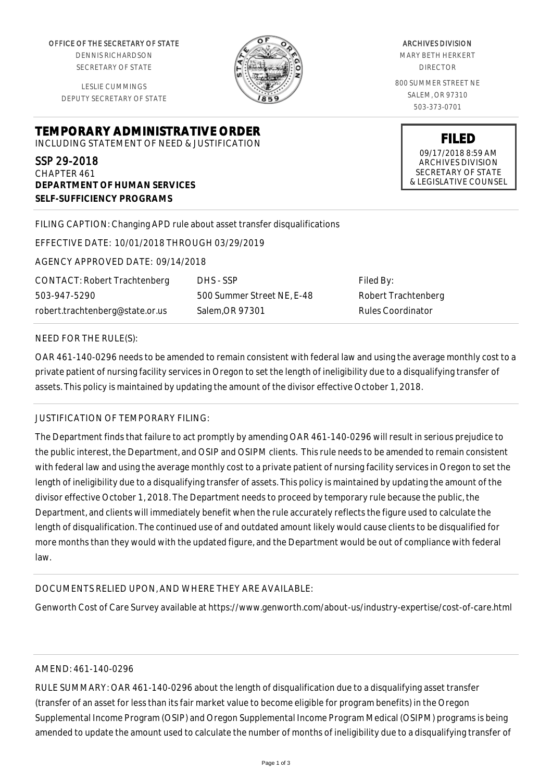OFFICE OF THE SECRETARY OF STATE

DENNIS RICHARDSON SECRETARY OF STATE

LESLIE CUMMINGS DEPUTY SECRETARY OF STATE

**DEPARTMENT OF HUMAN SERVICES**

**SELF-SUFFICIENCY PROGRAMS**



ARCHIVES DIVISION MARY BETH HERKERT DIRECTOR

800 SUMMER STREET NE SALEM, OR 97310 503-373-0701

> **FILED** 09/17/2018 8:59 AM ARCHIVES DIVISION SECRETARY OF STATE & LEGISLATIVE COUNSEL

FILING CAPTION: Changing APD rule about asset transfer disqualifications

EFFECTIVE DATE: 10/01/2018 THROUGH 03/29/2019

**TEMPORARY ADMINISTRATIVE ORDER** INCLUDING STATEMENT OF NEED & JUSTIFICATION

AGENCY APPROVED DATE: 09/14/2018

CONTACT: Robert Trachtenberg 503-947-5290 robert.trachtenberg@state.or.us

DHS - SSP 500 Summer Street NE, E-48 Salem,OR 97301

Filed By: Robert Trachtenberg Rules Coordinator

### NEED FOR THE RULE(S):

SSP 29-2018 CHAPTER 461

OAR 461-140-0296 needs to be amended to remain consistent with federal law and using the average monthly cost to a private patient of nursing facility services in Oregon to set the length of ineligibility due to a disqualifying transfer of assets. This policy is maintained by updating the amount of the divisor effective October 1, 2018.

# JUSTIFICATION OF TEMPORARY FILING:

The Department finds that failure to act promptly by amending OAR 461-140-0296 will result in serious prejudice to the public interest, the Department, and OSIP and OSIPM clients. This rule needs to be amended to remain consistent with federal law and using the average monthly cost to a private patient of nursing facility services in Oregon to set the length of ineligibility due to a disqualifying transfer of assets. This policy is maintained by updating the amount of the divisor effective October 1, 2018. The Department needs to proceed by temporary rule because the public, the Department, and clients will immediately benefit when the rule accurately reflects the figure used to calculate the length of disqualification. The continued use of and outdated amount likely would cause clients to be disqualified for more months than they would with the updated figure, and the Department would be out of compliance with federal law.

## DOCUMENTS RELIED UPON, AND WHERE THEY ARE AVAILABLE:

Genworth Cost of Care Survey available at https://www.genworth.com/about-us/industry-expertise/cost-of-care.html

### AMEND: 461-140-0296

RULE SUMMARY: OAR 461-140-0296 about the length of disqualification due to a disqualifying asset transfer (transfer of an asset for less than its fair market value to become eligible for program benefits) in the Oregon Supplemental Income Program (OSIP) and Oregon Supplemental Income Program Medical (OSIPM) programs is being amended to update the amount used to calculate the number of months of ineligibility due to a disqualifying transfer of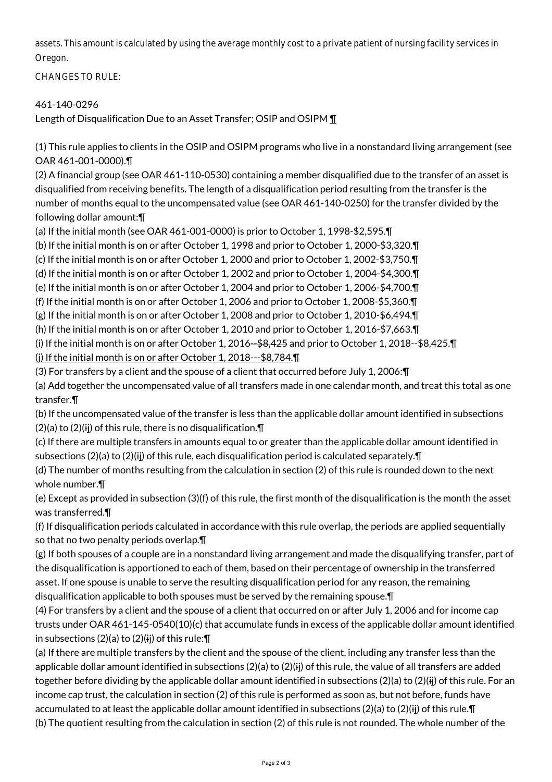assets. This amount is calculated by using the average monthly cost to a private patient of nursing facility services in Oregon.

CHANGES TO RULE:

# 461-140-0296

Length of Disqualification Due to an Asset Transfer; OSIP and OSIPM ¶

(1) This rule applies to clients in the OSIP and OSIPM programs who live in a nonstandard living arrangement (see OAR 461-001-0000).¶

(2) A financial group (see OAR 461-110-0530) containing a member disqualified due to the transfer of an asset is disqualified from receiving benefits. The length of a disqualification period resulting from the transfer is the number of months equal to the uncompensated value (see OAR 461-140-0250) for the transfer divided by the following dollar amount:¶

(a) If the initial month (see OAR 461-001-0000) is prior to October 1, 1998-\$2,595.¶

(b) If the initial month is on or after October 1, 1998 and prior to October 1, 2000-\$3,320.¶

(c) If the initial month is on or after October 1, 2000 and prior to October 1, 2002-\$3,750.¶

(d) If the initial month is on or after October 1, 2002 and prior to October 1, 2004-\$4,300.¶

(e) If the initial month is on or after October 1, 2004 and prior to October 1, 2006-\$4,700.¶

(f) If the initial month is on or after October 1, 2006 and prior to October 1, 2008-\$5,360.¶

(g) If the initial month is on or after October 1, 2008 and prior to October 1, 2010-\$6,494.¶

(h) If the initial month is on or after October 1, 2010 and prior to October 1, 2016-\$7,663.¶

(i) If the initial month is on or after October 1, 2016--\$8,425 and prior to October 1, 2018--\$8,425.¶

(j) If the initial month is on or after October 1, 2018---\$8,784.¶

(3) For transfers by a client and the spouse of a client that occurred before July 1, 2006:¶

(a) Add together the uncompensated value of all transfers made in one calendar month, and treat this total as one transfer.¶

(b) If the uncompensated value of the transfer is less than the applicable dollar amount identified in subsections  $(2)(a)$  to  $(2)(ii)$  of this rule, there is no disqualification. $\P$ 

(c) If there are multiple transfers in amounts equal to or greater than the applicable dollar amount identified in subsections (2)(a) to (2)(ij) of this rule, each disqualification period is calculated separately. $\P$ 

(d) The number of months resulting from the calculation in section (2) of this rule is rounded down to the next whole number.¶

(e) Except as provided in subsection (3)(f) of this rule, the first month of the disqualification is the month the asset was transferred.¶

(f) If disqualification periods calculated in accordance with this rule overlap, the periods are applied sequentially so that no two penalty periods overlap.¶

(g) If both spouses of a couple are in a nonstandard living arrangement and made the disqualifying transfer, part of the disqualification is apportioned to each of them, based on their percentage of ownership in the transferred asset. If one spouse is unable to serve the resulting disqualification period for any reason, the remaining disqualification applicable to both spouses must be served by the remaining spouse.¶

(4) For transfers by a client and the spouse of a client that occurred on or after July 1, 2006 and for income cap trusts under OAR 461-145-0540(10)(c) that accumulate funds in excess of the applicable dollar amount identified in subsections  $(2)(a)$  to  $(2)(ii)$  of this rule:  $\P$ 

(a) If there are multiple transfers by the client and the spouse of the client, including any transfer less than the applicable dollar amount identified in subsections (2)(a) to (2)(ii) of this rule, the value of all transfers are added together before dividing by the applicable dollar amount identified in subsections (2)(a) to (2)(ij) of this rule. For an income cap trust, the calculation in section (2) of this rule is performed as soon as, but not before, funds have accumulated to at least the applicable dollar amount identified in subsections (2)(a) to (2)(ij) of this rule. $\P$ (b) The quotient resulting from the calculation in section (2) of this rule is not rounded. The whole number of the